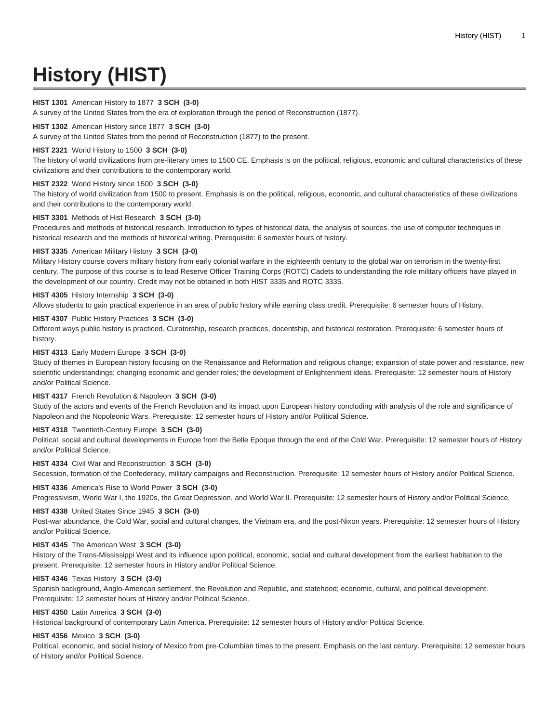# **History (HIST)**

#### **HIST 1301** American History to 1877 **3 SCH (3-0)**

A survey of the United States from the era of exploration through the period of Reconstruction (1877).

#### **HIST 1302** American History since 1877 **3 SCH (3-0)**

A survey of the United States from the period of Reconstruction (1877) to the present.

#### **HIST 2321** World History to 1500 **3 SCH (3-0)**

The history of world civilizations from pre-literary times to 1500 CE. Emphasis is on the political, religious, economic and cultural characteristics of these civilizations and their contributions to the contemporary world.

#### **HIST 2322** World History since 1500 **3 SCH (3-0)**

The history of world civilization from 1500 to present. Emphasis is on the political, religious, economic, and cultural characteristics of these civilizations and their contributions to the contemporary world.

#### **HIST 3301** Methods of Hist Research **3 SCH (3-0)**

Procedures and methods of historical research. Introduction to types of historical data, the analysis of sources, the use of computer techniques in historical research and the methods of historical writing. Prerequisite: 6 semester hours of history.

#### **HIST 3335** American Military History **3 SCH (3-0)**

Military History course covers military history from early colonial warfare in the eighteenth century to the global war on terrorism in the twenty-first century. The purpose of this course is to lead Reserve Officer Training Corps (ROTC) Cadets to understanding the role military officers have played in the development of our country. Credit may not be obtained in both HIST 3335 and ROTC 3335.

#### **HIST 4305** History Internship **3 SCH (3-0)**

Allows students to gain practical experience in an area of public history while earning class credit. Prerequisite: 6 semester hours of History.

### **HIST 4307** Public History Practices **3 SCH (3-0)**

Different ways public history is practiced. Curatorship, research practices, docentship, and historical restoration. Prerequisite: 6 semester hours of history.

#### **HIST 4313** Early Modern Europe **3 SCH (3-0)**

Study of themes in European history focusing on the Renaissance and Reformation and religious change; expansion of state power and resistance, new scientific understandings; changing economic and gender roles; the development of Enlightenment ideas. Prerequisite: 12 semester hours of History and/or Political Science.

### **HIST 4317** French Revolution & Napoleon **3 SCH (3-0)**

Study of the actors and events of the French Revolution and its impact upon European history concluding with analysis of the role and significance of Napoleon and the Nopoleonic Wars. Prerequisite: 12 semester hours of History and/or Political Science.

#### **HIST 4318** Twentieth-Century Europe **3 SCH (3-0)**

Political, social and cultural developments in Europe from the Belle Epoque through the end of the Cold War. Prerequisite: 12 semester hours of History and/or Political Science.

#### **HIST 4334** Civil War and Reconstruction **3 SCH (3-0)**

Secession, formation of the Confederacy, military campaigns and Reconstruction. Prerequisite: 12 semester hours of History and/or Political Science.

## **HIST 4336** America's Rise to World Power **3 SCH (3-0)**

Progressivism, World War I, the 1920s, the Great Depression, and World War II. Prerequisite: 12 semester hours of History and/or Political Science.

#### **HIST 4338** United States Since 1945 **3 SCH (3-0)**

Post-war abundance, the Cold War, social and cultural changes, the Vietnam era, and the post-Nixon years. Prerequisite: 12 semester hours of History and/or Political Science.

#### **HIST 4345** The American West **3 SCH (3-0)**

History of the Trans-Mississippi West and its influence upon political, economic, social and cultural development from the earliest habitation to the present. Prerequisite: 12 semester hours in History and/or Political Science.

#### **HIST 4346** Texas History **3 SCH (3-0)**

Spanish background, Anglo-American settlement, the Revolution and Republic, and statehood; economic, cultural, and political development. Prerequisite: 12 semester hours of History and/or Political Science.

#### **HIST 4350** Latin America **3 SCH (3-0)**

Historical background of contemporary Latin America. Prerequisite: 12 semester hours of History and/or Political Science.

#### **HIST 4356** Mexico **3 SCH (3-0)**

Political, economic, and social history of Mexico from pre-Columbian times to the present. Emphasis on the last century. Prerequisite: 12 semester hours of History and/or Political Science.